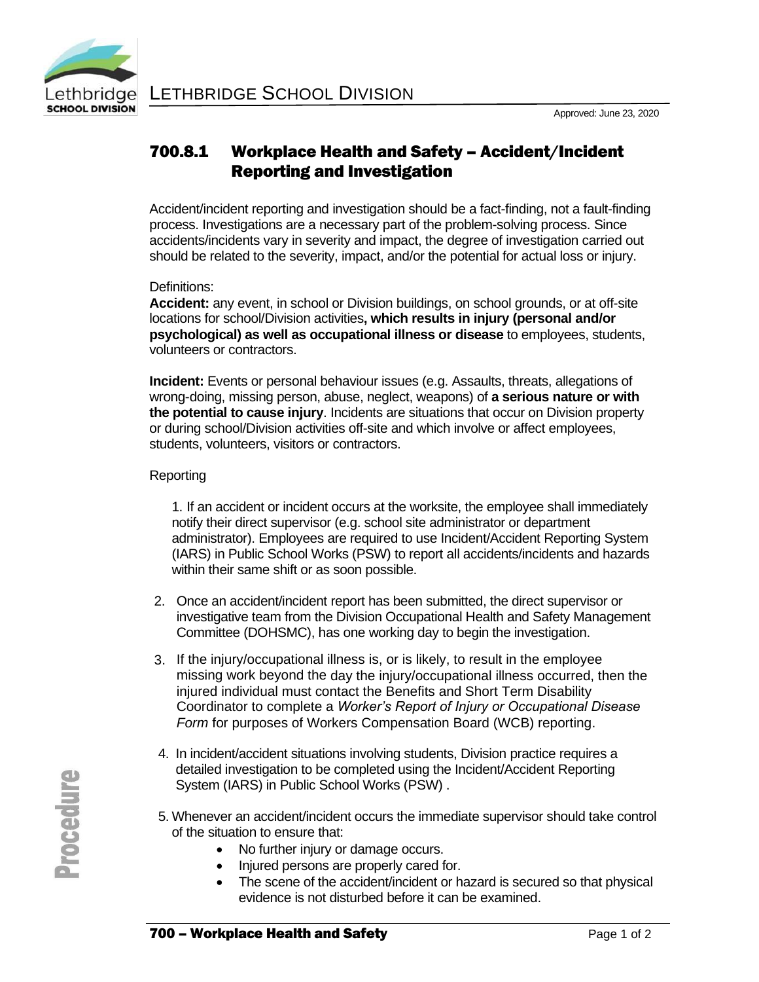# 700.8.1 Workplace Health and Safety – Accident/Incident Reporting and Investigation

Accident/incident reporting and investigation should be a fact-finding, not a fault-finding process. Investigations are a necessary part of the problem-solving process. Since accidents/incidents vary in severity and impact, the degree of investigation carried out should be related to the severity, impact, and/or the potential for actual loss or injury.

### Definitions:

**Accident:** any event, in school or Division buildings, on school grounds, or at off-site locations for school/Division activities**, which results in injury (personal and/or psychological) as well as occupational illness or disease** to employees, students, volunteers or contractors.

**Incident:** Events or personal behaviour issues (e.g. Assaults, threats, allegations of wrong-doing, missing person, abuse, neglect, weapons) of **a serious nature or with the potential to cause injury**. Incidents are situations that occur on Division property or during school/Division activities off-site and which involve or affect employees, students, volunteers, visitors or contractors.

## **Reporting**

1. If an accident or incident occurs at the worksite, the employee shall immediately notify their direct supervisor (e.g. school site administrator or department administrator). Employees are required to use Incident/Accident Reporting System (IARS) in Public School Works (PSW) to report all accidents/incidents and hazards within their same shift or as soon possible.

- 2. Once an accident/incident report has been submitted, the direct supervisor or investigative team from the Division Occupational Health and Safety Management Committee (DOHSMC), has one working day to begin the investigation.
- 3. If the injury/occupational illness is, or is likely, to result in the employee missing work beyond the day the injury/occupational illness occurred, then the injured individual must contact the Benefits and Short Term Disability Coordinator to complete a *Worker's Report of Injury or Occupational Disease Form* for purposes of Workers Compensation Board (WCB) reporting.
- 4. In incident/accident situations involving students, Division practice requires a detailed investigation to be completed using the Incident/Accident Reporting System (IARS) in Public School Works (PSW) .
- 5. Whenever an accident/incident occurs the immediate supervisor should take control of the situation to ensure that:
	- No further injury or damage occurs.
	- Injured persons are properly cared for.
	- The scene of the accident/incident or hazard is secured so that physical evidence is not disturbed before it can be examined.